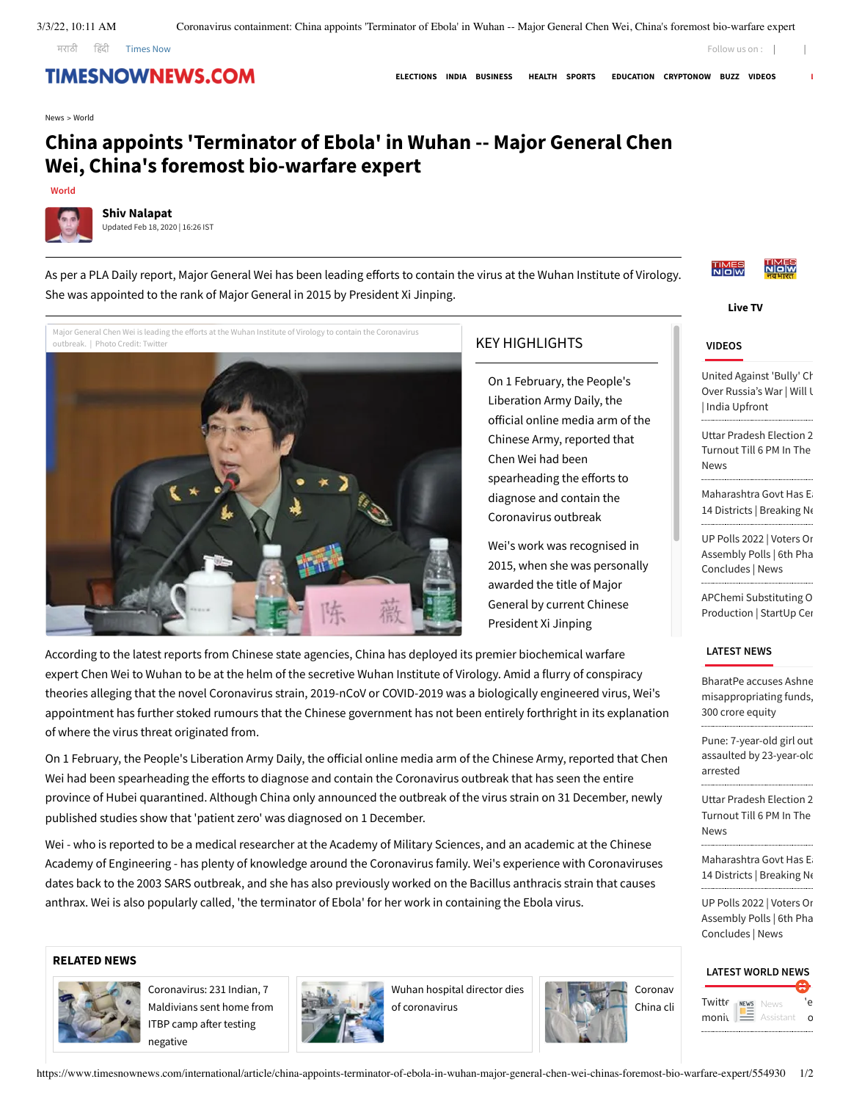[मरा](https://www.timesnowmarathi.com/)ठी हिं[दी](https://www.timesnowhindi.com/) **[Times](https://www.timesnownews.com/) Now** 

## **TIMESNOWNEWS.COM**

**[ELECTIONS](https://www.timesnownews.com/elections) [INDIA](https://www.timesnownews.com/india) [BUSINESS](https://www.timesnownews.com/business-economy) [HEALTH](https://www.timesnownews.com/health) [SPORTS](https://www.timesnownews.com/sports) [EDUCATION](https://www.timesnownews.com/education) [CRYPTONOW](https://www.timesnownews.com/cryptonow) [BUZZ](https://www.timesnownews.com/the-buzz) [VIDEOS](https://www.timesnownews.com/videos) [L](https://www.timesnownews.com/live-tv)**

[News](https://www.timesnownews.com/) > [World](https://www.timesnownews.com/international)

# **China appoints 'Terminator of Ebola' in Wuhan -- Major General Chen Wei, China's foremost bio-warfare expert**



**Shiv [Nalapat](https://www.timesnownews.com/expert/shiv-nalapat/215)** Updated Feb 18, 2020 | 16:26 IST

As per a PLA Daily report, Major General Wei has been leading efforts to contain the virus at the Wuhan Institute of Virology. She was appointed to the rank of Major General in 2015 by President Xi Jinping.

Major General Chen Wei is leading the efforts at the Wuhan Institute of Virology to contain the Coronavirus outbreak. | Photo Credit: Twitte



### KEY HIGHLIGHTS

On 1 February, the People's Liberation Army Daily, the official online media arm of the Chinese Army, reported that Chen Wei had been spearheading the efforts to diagnose and contain the Coronavirus outbreak

Wei's work was recognised in 2015, when she was personally awarded the title of Major General by current Chinese President Xi Jinping

According to the latest reports from Chinese state agencies, China has deployed its premier biochemical warfare expert Chen Wei to Wuhan to be at the helm of the secretive Wuhan Institute of Virology. Amid a flurry of conspiracy theories alleging that the novel Coronavirus strain, 2019-nCoV or COVID-2019 was a biologically engineered virus, Wei's appointment has further stoked rumours that the Chinese government has not been entirely forthright in its explanation of where the virus threat originated from.

On 1 February, the People's Liberation Army Daily, the official online media arm of the Chinese Army, reported that Chen Wei had been spearheading the efforts to diagnose and contain the Coronavirus outbreak that has seen the entire province of Hubei quarantined. Although China only announced the outbreak of the virus strain on 31 December, newly published studies show that 'patient zero' was diagnosed on 1 December.

Wei - who is reported to be a medical researcher at the Academy of Military Sciences, and an academic at the Chinese Academy of Engineering - has plenty of knowledge around the Coronavirus family. Wei's experience with Coronaviruses dates back to the 2003 SARS outbreak, and she has also previously worked on the Bacillus anthracis strain that causes anthrax. Wei is also popularly called, 'the terminator of Ebola' for her work in containing the Ebola virus.

#### **RELATED NEWS**



[Coronavirus:](https://www.timesnownews.com/india/article/coronavirus-231-indian-7-maldivians-sent-home-from-itbp-camp-after-testing-negative/554807) 231 Indian, 7 Maldivians sent home from ITBP camp after testing negative



Wuhan hospital director dies of [coronavirus](https://www.timesnownews.com/international/article/wuhan-hospital-director-dies-of-coronavirus/554798)





Follow us on : [|](https://www.facebook.com/Timesnow)

**[Live](https://www.timesnownews.com/live-tv) TV**

#### **[VIDEOS](https://www.timesnownews.com/videos)**

United Against 'Bully' Ch Over [Russia's](https://www.timesnownews.com/videos/times-now/india-upfront/united-against-bully-china-but-divided-over-russia-s-war-will-ukraine-strain-quad-india-upfront/122773) War | Will U | India Upfront

Uttar [Pradesh](https://www.timesnownews.com/videos/mirror-now/politics/uttar-pradesh-election-2022-53-31-voters-turnout-till-6-pm-in-the-6th-phase-latest-news/122772) Election 2 Turnout Till 6 PM In The News 

[Maharashtra](https://www.timesnownews.com/videos/mirror-now/society/maharashtra-govt-has-eased-covid-curbs-in-14-districts-breaking-news/122771) Govt Has Ea 14 Districts | Breaking Ne 

UP Polls 2022 | Voters On [Assembly Polls](https://www.timesnownews.com/videos/mirror-now/politics/up-polls-2022-voters-on-cm-yogis-debut-in-assembly-polls-6th-phase-of-voting-concludes-news/122770) | 6th Pha Concludes | News APChemi [Substituting](https://www.timesnownews.com/videos/et-now/shows/apchemi-substituting-oil-in-polymer-production-startup-central/122769) O

Production | StartUp Cen

#### **[LATEST](https://www.timesnownews.com/latest-news) NEWS**

BharatPe accuses Ashne [misappropriating](https://www.timesnownews.com/business-economy/companies/bharatpe-accuses-ashneer-grover-of-misappropriating-funds-holds-back-his-rs-300-crore-equity-article-89976088) funds, 300 crore equity Pune: 7-year-old girl out assaulted [by 23-year-old](https://www.timesnownews.com/pune/pune-7-year-old-girl-out-to-play-sexually-assaulted-by-23-year-old-man-accused-arrested-article-89975871) arrested

Uttar [Pradesh](https://www.timesnownews.com/videos/mirror-now/politics/uttar-pradesh-election-2022-53-31-voters-turnout-till-6-pm-in-the-6th-phase-latest-news/122772) Election 2 Turnout Till 6 PM In The News

[Maharashtra](https://www.timesnownews.com/videos/mirror-now/society/maharashtra-govt-has-eased-covid-curbs-in-14-districts-breaking-news/122771) Govt Has E 14 Districts | Breaking Ne UP Polls 2022 | Voters On [Assembly Polls](https://www.timesnownews.com/videos/mirror-now/politics/up-polls-2022-voters-on-cm-yogis-debut-in-assembly-polls-6th-phase-of-voting-concludes-news/122770) | 6th Pha Concludes | News

#### **LATEST [WORLD NEWS](https://www.timesnownews.com/international)**

| Twitte | NEWS News |          |
|--------|-----------|----------|
| moni   | Assistant | $\Omega$ |